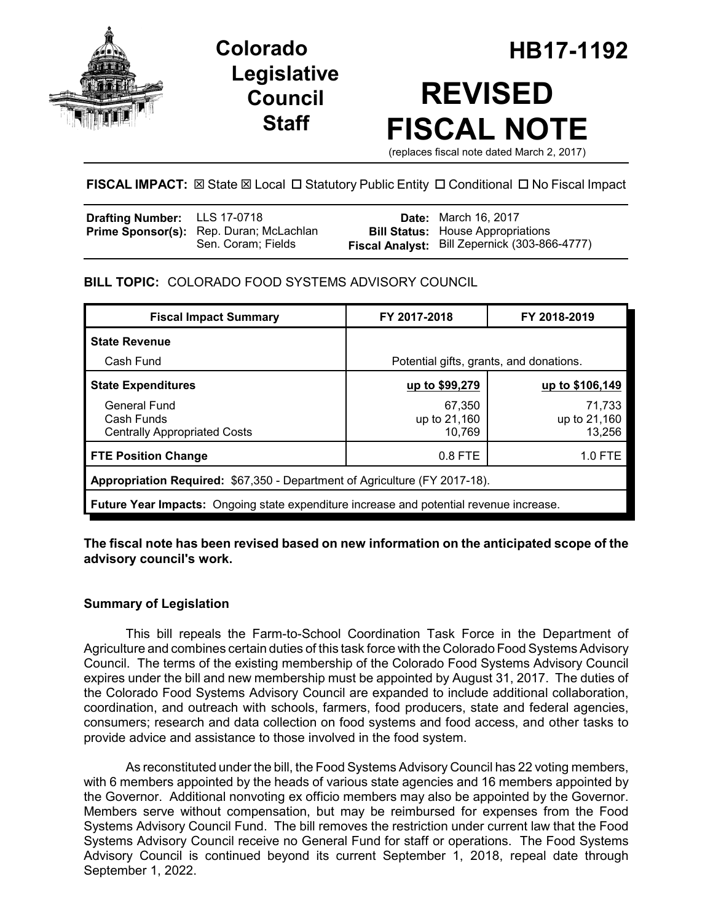

**Legislative Council Staff**

# **Colorado HB17-1192 REVISED FISCAL NOTE**

(replaces fiscal note dated March 2, 2017)

# **FISCAL IMPACT:** ⊠ State ⊠ Local □ Statutory Public Entity □ Conditional □ No Fiscal Impact

| <b>Drafting Number:</b> LLS 17-0718 |                                         | <b>Date:</b> March 16, 2017                   |
|-------------------------------------|-----------------------------------------|-----------------------------------------------|
|                                     | Prime Sponsor(s): Rep. Duran; McLachlan | <b>Bill Status:</b> House Appropriations      |
|                                     | Sen. Coram; Fields                      | Fiscal Analyst: Bill Zepernick (303-866-4777) |

# **BILL TOPIC:** COLORADO FOOD SYSTEMS ADVISORY COUNCIL

| <b>Fiscal Impact Summary</b>                                                            | FY 2017-2018                            | FY 2018-2019                     |  |  |  |
|-----------------------------------------------------------------------------------------|-----------------------------------------|----------------------------------|--|--|--|
| <b>State Revenue</b>                                                                    |                                         |                                  |  |  |  |
| Cash Fund                                                                               | Potential gifts, grants, and donations. |                                  |  |  |  |
| <b>State Expenditures</b>                                                               | up to \$99,279                          | up to \$106,149                  |  |  |  |
| <b>General Fund</b><br>Cash Funds<br><b>Centrally Appropriated Costs</b>                | 67,350<br>up to 21,160<br>10,769        | 71,733<br>up to 21,160<br>13.256 |  |  |  |
| <b>FTE Position Change</b>                                                              | 0.8 FTE                                 | 1.0 FTE                          |  |  |  |
| Appropriation Required: \$67,350 - Department of Agriculture (FY 2017-18).              |                                         |                                  |  |  |  |
| Future Year Impacts: Ongoing state expenditure increase and potential revenue increase. |                                         |                                  |  |  |  |

**The fiscal note has been revised based on new information on the anticipated scope of the advisory council's work.**

# **Summary of Legislation**

This bill repeals the Farm-to-School Coordination Task Force in the Department of Agriculture and combines certain duties of this task force with the Colorado Food Systems Advisory Council. The terms of the existing membership of the Colorado Food Systems Advisory Council expires under the bill and new membership must be appointed by August 31, 2017. The duties of the Colorado Food Systems Advisory Council are expanded to include additional collaboration, coordination, and outreach with schools, farmers, food producers, state and federal agencies, consumers; research and data collection on food systems and food access, and other tasks to provide advice and assistance to those involved in the food system.

As reconstituted under the bill, the Food Systems Advisory Council has 22 voting members, with 6 members appointed by the heads of various state agencies and 16 members appointed by the Governor. Additional nonvoting ex officio members may also be appointed by the Governor. Members serve without compensation, but may be reimbursed for expenses from the Food Systems Advisory Council Fund. The bill removes the restriction under current law that the Food Systems Advisory Council receive no General Fund for staff or operations. The Food Systems Advisory Council is continued beyond its current September 1, 2018, repeal date through September 1, 2022.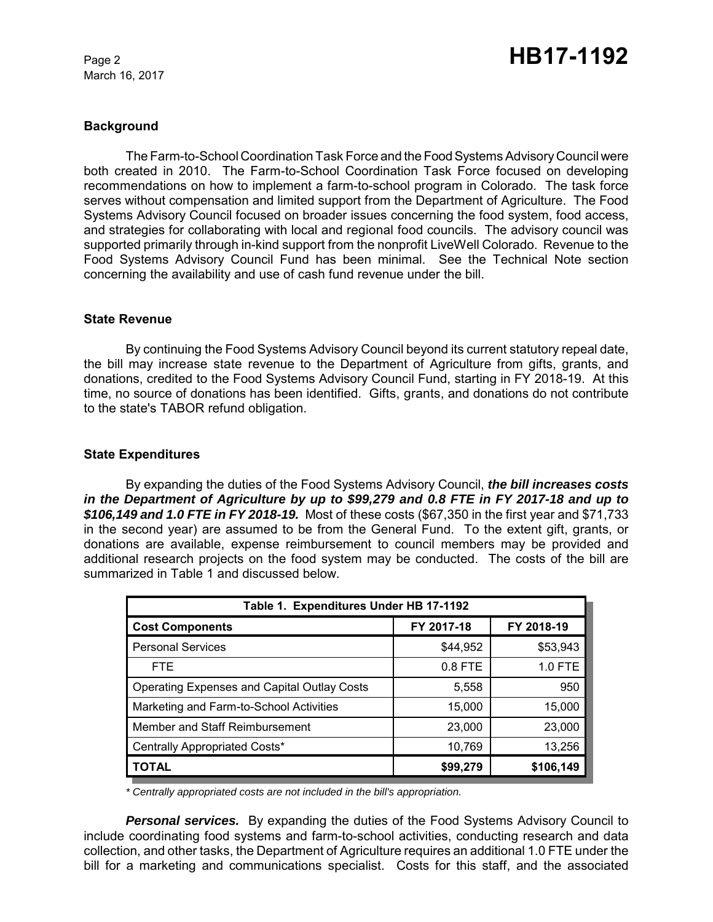March 16, 2017

## **Background**

The Farm-to-School Coordination Task Force and the Food Systems Advisory Council were both created in 2010. The Farm-to-School Coordination Task Force focused on developing recommendations on how to implement a farm-to-school program in Colorado. The task force serves without compensation and limited support from the Department of Agriculture. The Food Systems Advisory Council focused on broader issues concerning the food system, food access, and strategies for collaborating with local and regional food councils. The advisory council was supported primarily through in-kind support from the nonprofit LiveWell Colorado. Revenue to the Food Systems Advisory Council Fund has been minimal. See the Technical Note section concerning the availability and use of cash fund revenue under the bill.

## **State Revenue**

By continuing the Food Systems Advisory Council beyond its current statutory repeal date, the bill may increase state revenue to the Department of Agriculture from gifts, grants, and donations, credited to the Food Systems Advisory Council Fund, starting in FY 2018-19. At this time, no source of donations has been identified. Gifts, grants, and donations do not contribute to the state's TABOR refund obligation.

## **State Expenditures**

By expanding the duties of the Food Systems Advisory Council, *the bill increases costs in the Department of Agriculture by up to \$99,279 and 0.8 FTE in FY 2017-18 and up to \$106,149 and 1.0 FTE in FY 2018-19.* Most of these costs (\$67,350 in the first year and \$71,733 in the second year) are assumed to be from the General Fund. To the extent gift, grants, or donations are available, expense reimbursement to council members may be provided and additional research projects on the food system may be conducted. The costs of the bill are summarized in Table 1 and discussed below.

| Table 1. Expenditures Under HB 17-1192             |            |            |  |  |  |  |
|----------------------------------------------------|------------|------------|--|--|--|--|
| <b>Cost Components</b>                             | FY 2017-18 | FY 2018-19 |  |  |  |  |
| <b>Personal Services</b>                           | \$44,952   | \$53,943   |  |  |  |  |
| FTE.                                               | $0.8$ FTE  | 1.0 FTE    |  |  |  |  |
| <b>Operating Expenses and Capital Outlay Costs</b> | 5,558      | 950        |  |  |  |  |
| Marketing and Farm-to-School Activities            | 15,000     | 15,000     |  |  |  |  |
| Member and Staff Reimbursement                     | 23,000     | 23,000     |  |  |  |  |
| Centrally Appropriated Costs*                      | 10,769     | 13,256     |  |  |  |  |
| <b>TOTAL</b>                                       | \$99,279   | \$106,149  |  |  |  |  |

*\* Centrally appropriated costs are not included in the bill's appropriation.*

*Personal services.* By expanding the duties of the Food Systems Advisory Council to include coordinating food systems and farm-to-school activities, conducting research and data collection, and other tasks, the Department of Agriculture requires an additional 1.0 FTE under the bill for a marketing and communications specialist. Costs for this staff, and the associated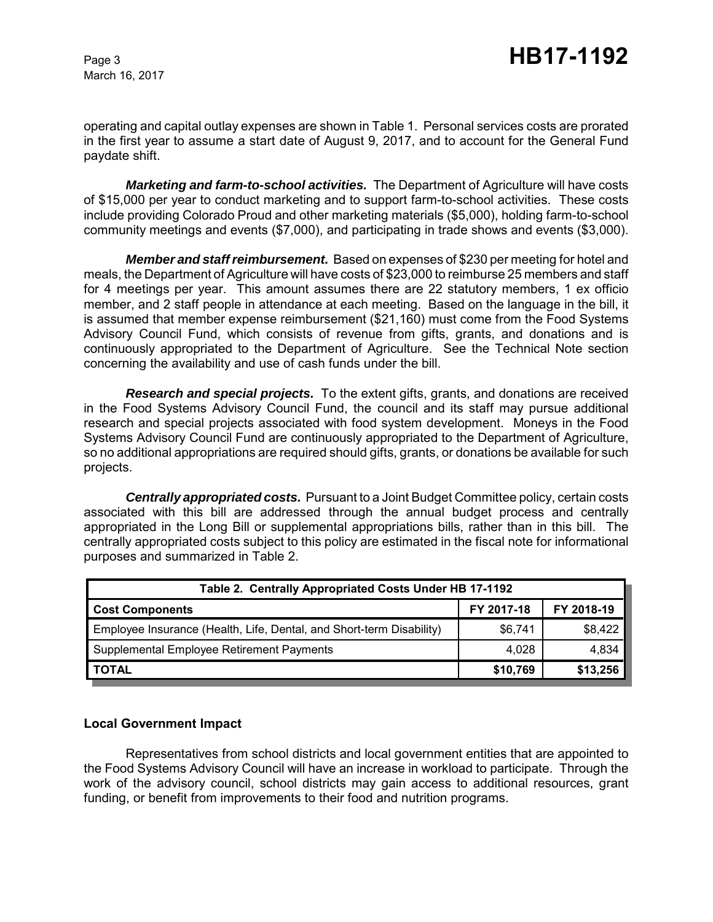March 16, 2017

operating and capital outlay expenses are shown in Table 1. Personal services costs are prorated in the first year to assume a start date of August 9, 2017, and to account for the General Fund paydate shift.

*Marketing and farm-to-school activities.* The Department of Agriculture will have costs of \$15,000 per year to conduct marketing and to support farm-to-school activities. These costs include providing Colorado Proud and other marketing materials (\$5,000), holding farm-to-school community meetings and events (\$7,000), and participating in trade shows and events (\$3,000).

*Member and staff reimbursement.* Based on expenses of \$230 per meeting for hotel and meals, the Department of Agriculture will have costs of \$23,000 to reimburse 25 members and staff for 4 meetings per year. This amount assumes there are 22 statutory members, 1 ex officio member, and 2 staff people in attendance at each meeting. Based on the language in the bill, it is assumed that member expense reimbursement (\$21,160) must come from the Food Systems Advisory Council Fund, which consists of revenue from gifts, grants, and donations and is continuously appropriated to the Department of Agriculture. See the Technical Note section concerning the availability and use of cash funds under the bill.

*Research and special projects.* To the extent gifts, grants, and donations are received in the Food Systems Advisory Council Fund, the council and its staff may pursue additional research and special projects associated with food system development. Moneys in the Food Systems Advisory Council Fund are continuously appropriated to the Department of Agriculture, so no additional appropriations are required should gifts, grants, or donations be available for such projects.

*Centrally appropriated costs.* Pursuant to a Joint Budget Committee policy, certain costs associated with this bill are addressed through the annual budget process and centrally appropriated in the Long Bill or supplemental appropriations bills, rather than in this bill. The centrally appropriated costs subject to this policy are estimated in the fiscal note for informational purposes and summarized in Table 2.

| Table 2. Centrally Appropriated Costs Under HB 17-1192               |            |            |  |  |  |
|----------------------------------------------------------------------|------------|------------|--|--|--|
| <b>Cost Components</b>                                               | FY 2017-18 | FY 2018-19 |  |  |  |
| Employee Insurance (Health, Life, Dental, and Short-term Disability) | \$6,741    | \$8,422    |  |  |  |
| Supplemental Employee Retirement Payments                            | 4,028      | 4,834      |  |  |  |
| <b>TOTAL</b>                                                         | \$10,769   | \$13,256   |  |  |  |

# **Local Government Impact**

Representatives from school districts and local government entities that are appointed to the Food Systems Advisory Council will have an increase in workload to participate. Through the work of the advisory council, school districts may gain access to additional resources, grant funding, or benefit from improvements to their food and nutrition programs.